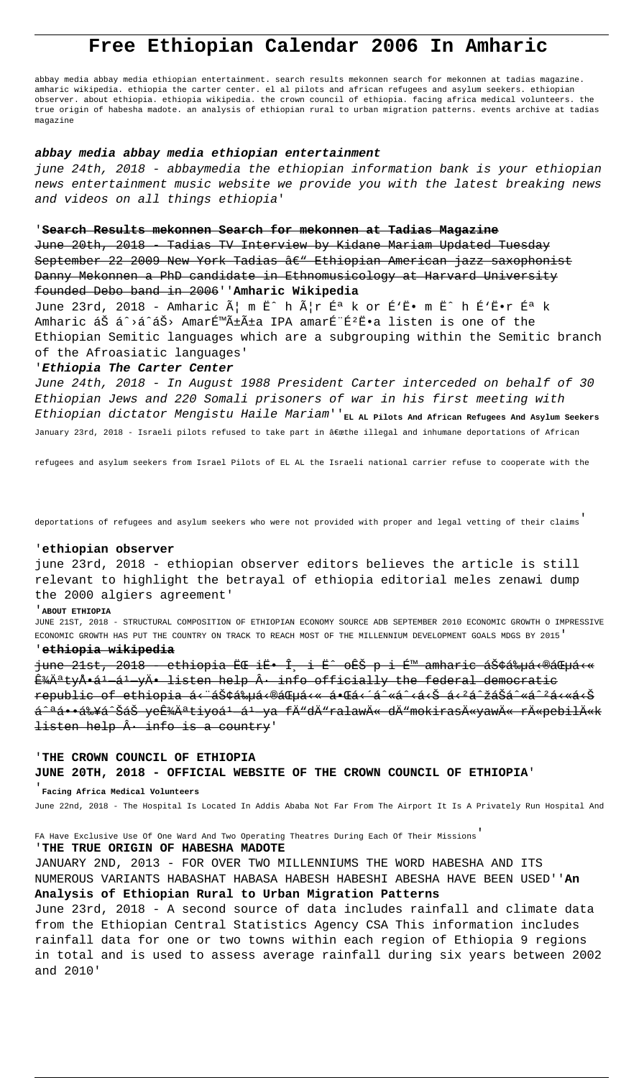# **Free Ethiopian Calendar 2006 In Amharic**

abbay media abbay media ethiopian entertainment. search results mekonnen search for mekonnen at tadias magazine. amharic wikipedia. ethiopia the carter center. el al pilots and african refugees and asylum seekers. ethiopian observer. about ethiopia. ethiopia wikipedia. the crown council of ethiopia. facing africa medical volunteers. the true origin of habesha madote. an analysis of ethiopian rural to urban migration patterns. events archive at tadias magazine

#### **abbay media abbay media ethiopian entertainment**

june 24th, 2018 - abbaymedia the ethiopian information bank is your ethiopian news entertainment music website we provide you with the latest breaking news and videos on all things ethiopia'

### '**Search Results mekonnen Search for mekonnen at Tadias Magazine**

June 20th, 2018 - Tadias TV Interview by Kidane Mariam Updated Tuesday September 22 2009 New York Tadias â $\epsilon$ " Ethiopian American jazz saxophonist Danny Mekonnen a PhD candidate in Ethnomusicology at Harvard University founded Debo band in 2006''**Amharic Wikipedia**

June 23rd, 2018 - Amharic  $\tilde{A}$ | m Ë<sup>^</sup> h  $\tilde{A}$ |r É<sup>a</sup> k or É<sup>*\*E</sup>• m Ë<sup>^</sup> h É<sup>*\*E</sup>•r É<sup>a</sup> k Amharic አá^>á^áŠ> Amarəñña IPA amarɨÉ<sup>2</sup>Ë•a listen is one of the Ethiopian Semitic languages which are a subgrouping within the Semitic branch of the Afroasiatic languages'

# '**Ethiopia The Carter Center**

June 24th, 2018 - In August 1988 President Carter interceded on behalf of 30 Ethiopian Jews and 220 Somali prisoners of war in his first meeting with Ethiopian dictator Mengistu Haile Mariam''**EL AL Pilots And African Refugees And Asylum Seekers** January 23rd, 2018 - Israeli pilots refused to take part in â@wthe illegal and inhumane deportations of African

refugees and asylum seekers from Israel Pilots of EL AL the Israeli national carrier refuse to cooperate with the

deportations of refugees and asylum seekers who were not provided with proper and legal vetting of their claims'

#### '**ethiopian observer**

june 23rd, 2018 - ethiopian observer editors believes the article is still relevant to highlight the betrayal of ethiopia editorial meles zenawi dump the 2000 algiers agreement'

#### '**ABOUT ETHIOPIA**

JUNE 21ST, 2018 - STRUCTURAL COMPOSITION OF ETHIOPIAN ECONOMY SOURCE ADB SEPTEMBER 2010 ECONOMIC GROWTH O IMPRESSIVE ECONOMIC GROWTH HAS PUT THE COUNTRY ON TRACK TO REACH MOST OF THE MILLENNIUM DEVELOPMENT GOALS MDGS BY 2015'

#### '**ethiopia wikipedia**

june 21st, 2018 - ethiopia ËC iË. Î. i Ë^ oÊŠ p i É™ amharic ኢá‰uá ⊕áGuá<« 'ĪtyÅ•á1 ál yÄ• listen help · info officially the federal democratic republic of ethiopia á<"ኢትá<®áŒµá<« ᕌá←´á^«á^čí»á<\*á^\*á^\*á<«á<<< <del>á^ªá••ብá^ŠáŠ yeʾĪtiyoẠẠya fÄ™dÄ™ralawÄ« dÄ™mokirasÄ«yawÄ« rÄ«pebilÄ«k</del> listen help  $\hat{A}$  info is a country'

# '**THE CROWN COUNCIL OF ETHIOPIA JUNE 20TH, 2018 - OFFICIAL WEBSITE OF THE CROWN COUNCIL OF ETHIOPIA**'

'**Facing Africa Medical Volunteers**

June 22nd, 2018 - The Hospital Is Located In Addis Ababa Not Far From The Airport It Is A Privately Run Hospital And

FA Have Exclusive Use Of One Ward And Two Operating Theatres During Each Of Their Missions'

# '**THE TRUE ORIGIN OF HABESHA MADOTE**

JANUARY 2ND, 2013 - FOR OVER TWO MILLENNIUMS THE WORD HABESHA AND ITS NUMEROUS VARIANTS HABASHAT HABASA HABESH HABESHI ABESHA HAVE BEEN USED''**An Analysis of Ethiopian Rural to Urban Migration Patterns**

June 23rd, 2018 - A second source of data includes rainfall and climate data from the Ethiopian Central Statistics Agency CSA This information includes rainfall data for one or two towns within each region of Ethiopia 9 regions in total and is used to assess average rainfall during six years between 2002 and 2010'